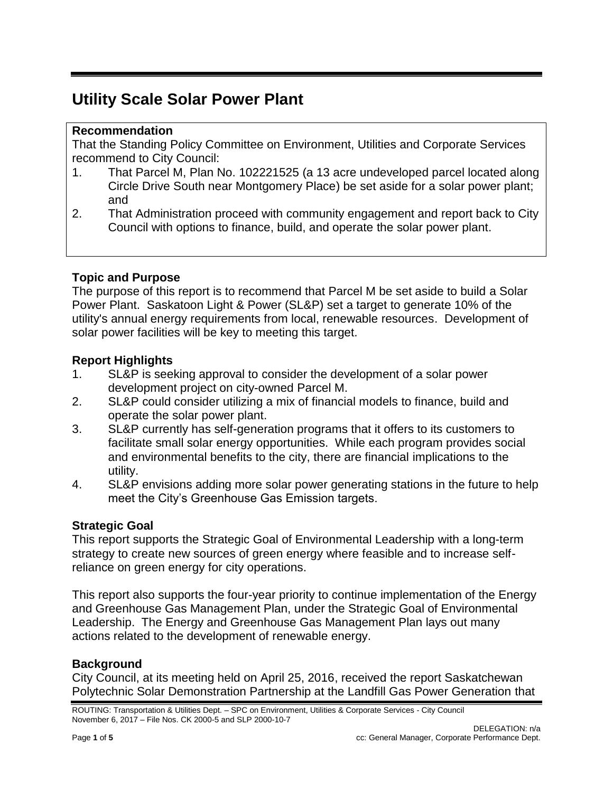# **Utility Scale Solar Power Plant**

# **Recommendation**

That the Standing Policy Committee on Environment, Utilities and Corporate Services recommend to City Council:

- 1. That Parcel M, Plan No. 102221525 (a 13 acre undeveloped parcel located along Circle Drive South near Montgomery Place) be set aside for a solar power plant; and
- 2. That Administration proceed with community engagement and report back to City Council with options to finance, build, and operate the solar power plant.

### **Topic and Purpose**

The purpose of this report is to recommend that Parcel M be set aside to build a Solar Power Plant. Saskatoon Light & Power (SL&P) set a target to generate 10% of the utility's annual energy requirements from local, renewable resources. Development of solar power facilities will be key to meeting this target.

### **Report Highlights**

- 1. SL&P is seeking approval to consider the development of a solar power development project on city-owned Parcel M.
- 2. SL&P could consider utilizing a mix of financial models to finance, build and operate the solar power plant.
- 3. SL&P currently has self-generation programs that it offers to its customers to facilitate small solar energy opportunities. While each program provides social and environmental benefits to the city, there are financial implications to the utility.
- 4. SL&P envisions adding more solar power generating stations in the future to help meet the City's Greenhouse Gas Emission targets.

# **Strategic Goal**

This report supports the Strategic Goal of Environmental Leadership with a long-term strategy to create new sources of green energy where feasible and to increase selfreliance on green energy for city operations.

This report also supports the four-year priority to continue implementation of the Energy and Greenhouse Gas Management Plan, under the Strategic Goal of Environmental Leadership. The Energy and Greenhouse Gas Management Plan lays out many actions related to the development of renewable energy.

# **Background**

City Council, at its meeting held on April 25, 2016, received the report Saskatchewan Polytechnic Solar Demonstration Partnership at the Landfill Gas Power Generation that

ROUTING: Transportation & Utilities Dept. – SPC on Environment, Utilities & Corporate Services - City Council November 6, 2017 – File Nos. CK 2000-5 and SLP 2000-10-7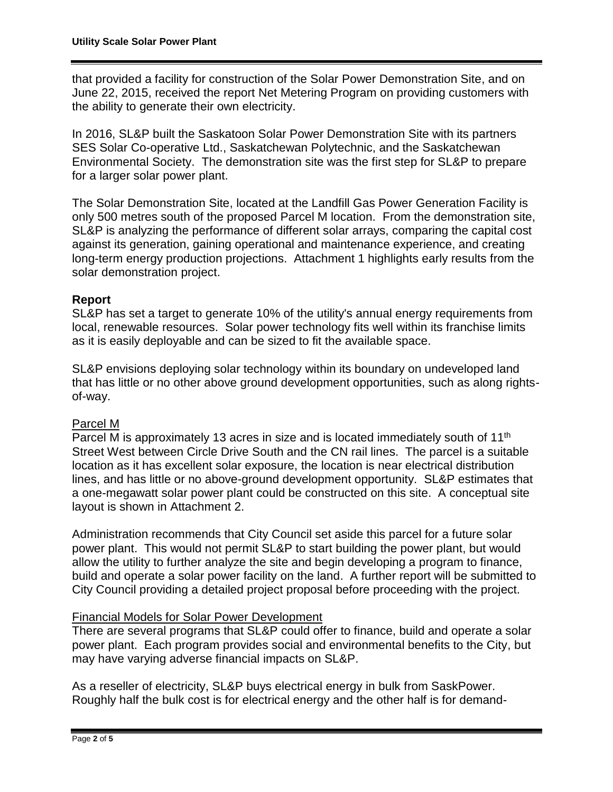that provided a facility for construction of the Solar Power Demonstration Site, and on June 22, 2015, received the report Net Metering Program on providing customers with the ability to generate their own electricity.

In 2016, SL&P built the Saskatoon Solar Power Demonstration Site with its partners SES Solar Co-operative Ltd., Saskatchewan Polytechnic, and the Saskatchewan Environmental Society. The demonstration site was the first step for SL&P to prepare for a larger solar power plant.

The Solar Demonstration Site, located at the Landfill Gas Power Generation Facility is only 500 metres south of the proposed Parcel M location. From the demonstration site, SL&P is analyzing the performance of different solar arrays, comparing the capital cost against its generation, gaining operational and maintenance experience, and creating long-term energy production projections. Attachment 1 highlights early results from the solar demonstration project.

### **Report**

SL&P has set a target to generate 10% of the utility's annual energy requirements from local, renewable resources. Solar power technology fits well within its franchise limits as it is easily deployable and can be sized to fit the available space.

SL&P envisions deploying solar technology within its boundary on undeveloped land that has little or no other above ground development opportunities, such as along rightsof-way.

### Parcel M

Parcel M is approximately 13 acres in size and is located immediately south of 11<sup>th</sup> Street West between Circle Drive South and the CN rail lines. The parcel is a suitable location as it has excellent solar exposure, the location is near electrical distribution lines, and has little or no above-ground development opportunity. SL&P estimates that a one-megawatt solar power plant could be constructed on this site. A conceptual site layout is shown in Attachment 2.

Administration recommends that City Council set aside this parcel for a future solar power plant. This would not permit SL&P to start building the power plant, but would allow the utility to further analyze the site and begin developing a program to finance, build and operate a solar power facility on the land. A further report will be submitted to City Council providing a detailed project proposal before proceeding with the project.

### Financial Models for Solar Power Development

There are several programs that SL&P could offer to finance, build and operate a solar power plant. Each program provides social and environmental benefits to the City, but may have varying adverse financial impacts on SL&P.

As a reseller of electricity, SL&P buys electrical energy in bulk from SaskPower. Roughly half the bulk cost is for electrical energy and the other half is for demand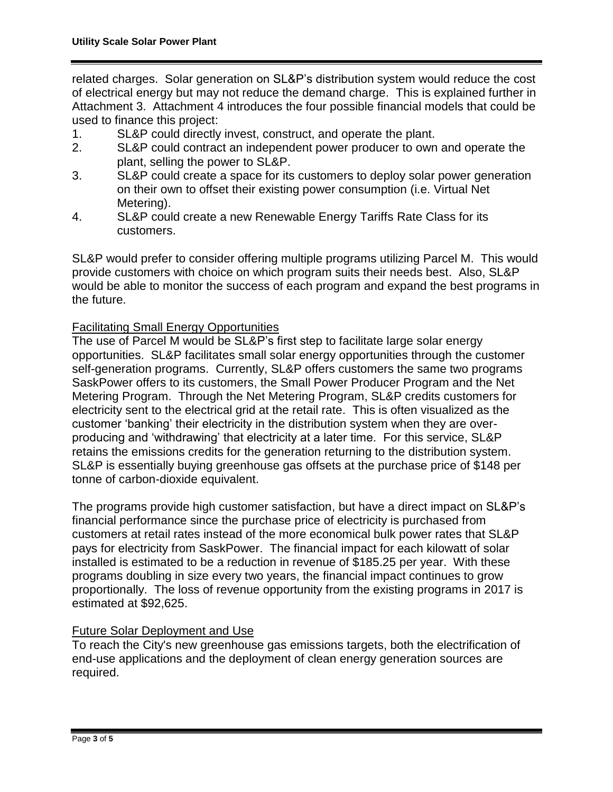related charges. Solar generation on SL&P's distribution system would reduce the cost of electrical energy but may not reduce the demand charge. This is explained further in Attachment 3. Attachment 4 introduces the four possible financial models that could be used to finance this project:

- 1. SL&P could directly invest, construct, and operate the plant.
- 2. SL&P could contract an independent power producer to own and operate the plant, selling the power to SL&P.
- 3. SL&P could create a space for its customers to deploy solar power generation on their own to offset their existing power consumption (i.e. Virtual Net Metering).
- 4. SL&P could create a new Renewable Energy Tariffs Rate Class for its customers.

SL&P would prefer to consider offering multiple programs utilizing Parcel M. This would provide customers with choice on which program suits their needs best. Also, SL&P would be able to monitor the success of each program and expand the best programs in the future.

### Facilitating Small Energy Opportunities

The use of Parcel M would be SL&P's first step to facilitate large solar energy opportunities. SL&P facilitates small solar energy opportunities through the customer self-generation programs. Currently, SL&P offers customers the same two programs SaskPower offers to its customers, the Small Power Producer Program and the Net Metering Program. Through the Net Metering Program, SL&P credits customers for electricity sent to the electrical grid at the retail rate. This is often visualized as the customer 'banking' their electricity in the distribution system when they are overproducing and 'withdrawing' that electricity at a later time. For this service, SL&P retains the emissions credits for the generation returning to the distribution system. SL&P is essentially buying greenhouse gas offsets at the purchase price of \$148 per tonne of carbon-dioxide equivalent.

The programs provide high customer satisfaction, but have a direct impact on SL&P's financial performance since the purchase price of electricity is purchased from customers at retail rates instead of the more economical bulk power rates that SL&P pays for electricity from SaskPower. The financial impact for each kilowatt of solar installed is estimated to be a reduction in revenue of \$185.25 per year. With these programs doubling in size every two years, the financial impact continues to grow proportionally. The loss of revenue opportunity from the existing programs in 2017 is estimated at \$92,625.

#### Future Solar Deployment and Use

To reach the City's new greenhouse gas emissions targets, both the electrification of end-use applications and the deployment of clean energy generation sources are required.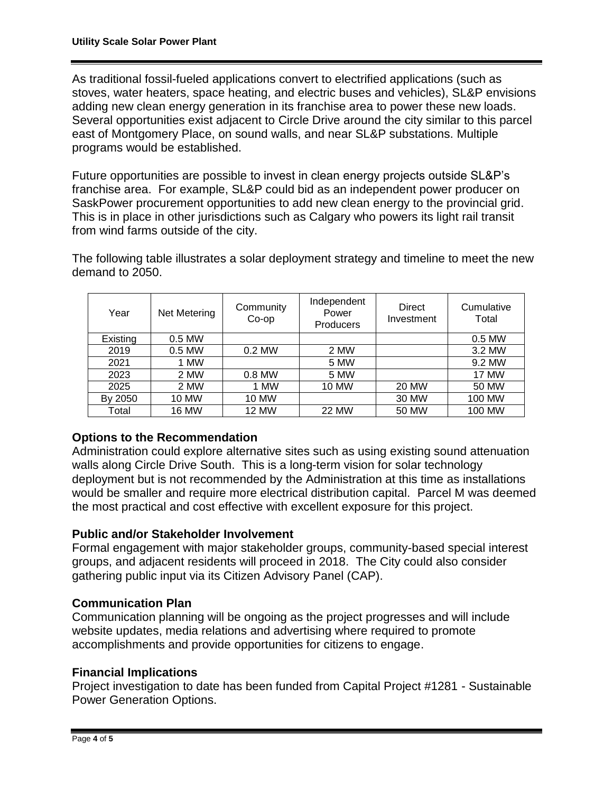As traditional fossil-fueled applications convert to electrified applications (such as stoves, water heaters, space heating, and electric buses and vehicles), SL&P envisions adding new clean energy generation in its franchise area to power these new loads. Several opportunities exist adjacent to Circle Drive around the city similar to this parcel east of Montgomery Place, on sound walls, and near SL&P substations. Multiple programs would be established.

Future opportunities are possible to invest in clean energy projects outside SL&P's franchise area. For example, SL&P could bid as an independent power producer on SaskPower procurement opportunities to add new clean energy to the provincial grid. This is in place in other jurisdictions such as Calgary who powers its light rail transit from wind farms outside of the city.

The following table illustrates a solar deployment strategy and timeline to meet the new demand to 2050.

| Year     | Net Metering | Community<br>Co-op | Independent<br>Power<br><b>Producers</b> | Direct<br>Investment | Cumulative<br>Total |
|----------|--------------|--------------------|------------------------------------------|----------------------|---------------------|
| Existing | 0.5 MW       |                    |                                          |                      | 0.5 MW              |
| 2019     | 0.5 MW       | 0.2 MW             | 2 MW                                     |                      | 3.2 MW              |
| 2021     | 1 MW         |                    | 5 MW                                     |                      | 9.2 MW              |
| 2023     | 2 MW         | $0.8$ MW           | 5 MW                                     |                      | <b>17 MW</b>        |
| 2025     | 2 MW         | 1 MW               | 10 MW                                    | <b>20 MW</b>         | 50 MW               |
| By 2050  | 10 MW        | 10 MW              |                                          | 30 MW                | 100 MW              |
| Total    | 16 MW        | 12 MW              | <b>22 MW</b>                             | 50 MW                | 100 MW              |

### **Options to the Recommendation**

Administration could explore alternative sites such as using existing sound attenuation walls along Circle Drive South. This is a long-term vision for solar technology deployment but is not recommended by the Administration at this time as installations would be smaller and require more electrical distribution capital. Parcel M was deemed the most practical and cost effective with excellent exposure for this project.

### **Public and/or Stakeholder Involvement**

Formal engagement with major stakeholder groups, community-based special interest groups, and adjacent residents will proceed in 2018. The City could also consider gathering public input via its Citizen Advisory Panel (CAP).

### **Communication Plan**

Communication planning will be ongoing as the project progresses and will include website updates, media relations and advertising where required to promote accomplishments and provide opportunities for citizens to engage.

### **Financial Implications**

Project investigation to date has been funded from Capital Project #1281 - Sustainable Power Generation Options.